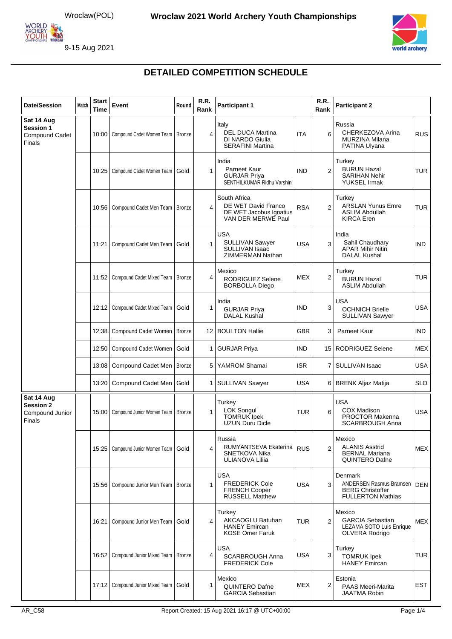



| <b>Date/Session</b>                                         | <b>Match</b> | <b>Start</b><br><b>Time</b> | Event                                       | Round         | R.R.<br>Rank | <b>Participant 1</b>                                                                  |            | R.R.<br>Rank   | <b>Participant 2</b>                                                                      |            |
|-------------------------------------------------------------|--------------|-----------------------------|---------------------------------------------|---------------|--------------|---------------------------------------------------------------------------------------|------------|----------------|-------------------------------------------------------------------------------------------|------------|
| Sat 14 Aug<br>Session 1<br><b>Compound Cadet</b><br>Finals  |              |                             | 10:00   Compound Cadet Women Team   Bronze  |               | 4            | Italy<br><b>DEL DUCA Martina</b><br>DI NARDO Giulia<br><b>SERAFINI Martina</b>        | <b>ITA</b> | 6              | Russia<br>CHERKEZOVA Arina<br><b>MURZINA Milana</b><br>PATINA Ulyana                      | <b>RUS</b> |
|                                                             |              | 10:25                       | Compound Cadet Women Team                   | Gold          | 1            | India<br>Parneet Kaur<br><b>GURJAR Priva</b><br>SENTHILKUMAR Ridhu Varshini           | <b>IND</b> | $\overline{2}$ | Turkey<br><b>BURUN Hazal</b><br><b>SARIHAN Nehir</b><br><b>YUKSEL Irmak</b>               | <b>TUR</b> |
|                                                             |              |                             | 10:56   Compound Cadet Men Team             | Bronze        | 4            | South Africa<br>DE WET David Franco<br>DE WET Jacobus Ignatius<br>VAN DER MERWE Paul  | <b>RSA</b> | $\overline{2}$ | Turkey<br><b>ARSLAN Yunus Emre</b><br><b>ASLIM Abdullah</b><br><b>KIRCA</b> Eren          | <b>TUR</b> |
|                                                             |              | 11:21                       | Compound Cadet Men Team                     | Gold          | 1            | <b>USA</b><br><b>SULLIVAN Sawyer</b><br>SULLIVAN Isaac<br><b>ZIMMERMAN Nathan</b>     | <b>USA</b> | 3              | India<br>Sahil Chaudhary<br><b>APAR Mihir Nitin</b><br><b>DALAL Kushal</b>                | IND.       |
|                                                             |              | 11:52                       | Compound Cadet Mixed Team                   | Bronze        | 4            | Mexico<br><b>RODRIGUEZ Selene</b><br><b>BORBOLLA Diego</b>                            | <b>MEX</b> | 2              | Turkey<br><b>BURUN Hazal</b><br><b>ASLIM Abdullah</b>                                     | <b>TUR</b> |
|                                                             |              |                             | 12:12   Compound Cadet Mixed Team           | Gold          | 1            | India<br><b>GURJAR Priya</b><br><b>DALAL Kushal</b>                                   | <b>IND</b> | 3              | <b>USA</b><br><b>OCHNICH Brielle</b><br><b>SULLIVAN Sawyer</b>                            | <b>USA</b> |
|                                                             |              |                             | 12:38   Compound Cadet Women                | <b>Bronze</b> | 12           | <b>BOULTON Hallie</b>                                                                 | <b>GBR</b> | 3              | Parneet Kaur                                                                              | IND.       |
|                                                             |              |                             | 12:50   Compound Cadet Women                | Gold          | 1            | <b>GURJAR Priya</b>                                                                   | <b>IND</b> |                | 15   RODRIGUEZ Selene                                                                     | <b>MEX</b> |
|                                                             |              | 13:08                       | Compound Cadet Men   Bronze                 |               | 5            | YAMROM Shamai                                                                         | <b>ISR</b> | 7 <sup>1</sup> | <b>SULLIVAN Isaac</b>                                                                     | USA        |
|                                                             |              | 13:20                       | Compound Cadet Men                          | Gold          | 1            | SULLIVAN Sawyer                                                                       | <b>USA</b> | 6              | <b>BRENK Aljaz Matija</b>                                                                 | <b>SLO</b> |
| Sat 14 Aug<br><b>Session 2</b><br>Compound Junior<br>Finals |              |                             | 15:00   Compound Junior Women Team   Bronze |               | $\mathbf{1}$ | Turkey<br><b>LOK Songul</b><br><b>TOMRUK</b> Ipek<br>UZUN Duru Dicle                  | <b>TUR</b> | 6              | <b>USA</b><br><b>COX Madison</b><br><b>PROCTOR Makenna</b><br><b>SCARBROUGH Anna</b>      | <b>USA</b> |
|                                                             |              |                             | 15:25   Compound Junior Women Team   Gold   |               | 4            | Russia<br>RUMYANTSEVA Ekaterina<br>SNETKOVA Nika<br>ULIANOVA Lilija                   | <b>RUS</b> | $\overline{2}$ | Mexico<br><b>ALANIS Asstrid</b><br><b>BERNAL Mariana</b><br><b>QUINTERO Dafne</b>         | <b>MEX</b> |
|                                                             |              |                             | 15:56   Compound Junior Men Team   Bronze   |               | 1            | <b>USA</b><br><b>FREDERICK Cole</b><br><b>FRENCH Cooper</b><br><b>RUSSELL Matthew</b> | <b>USA</b> | 3              | Denmark<br>ANDERSEN Rasmus Bramsen<br><b>BERG Christoffer</b><br><b>FULLERTON Mathias</b> | <b>DEN</b> |
|                                                             |              | 16:21                       | Compound Junior Men Team                    | Gold          | 4            | Turkey<br><b>AKCAOGLU Batuhan</b><br><b>HANEY Emircan</b><br><b>KOSE Omer Faruk</b>   | <b>TUR</b> | $\overline{2}$ | Mexico<br><b>GARCIA Sebastian</b><br>LEZAMA SOTO Luis Enrique<br>OLVERA Rodrigo           | <b>MEX</b> |
|                                                             |              | 16:52                       | Compound Junior Mixed Team                  | Bronze        | 4            | <b>USA</b><br><b>SCARBROUGH Anna</b><br><b>FREDERICK Cole</b>                         | <b>USA</b> | 3              | Turkey<br><b>TOMRUK Ipek</b><br><b>HANEY Emircan</b>                                      | TUR        |
|                                                             |              |                             | 17:12   Compound Junior Mixed Team          | Gold          | 1            | Mexico<br><b>QUINTERO Dafne</b><br><b>GARCIA Sebastian</b>                            | MEX        | 2              | Estonia<br>PAAS Meeri-Marita<br><b>JAATMA Robin</b>                                       | <b>EST</b> |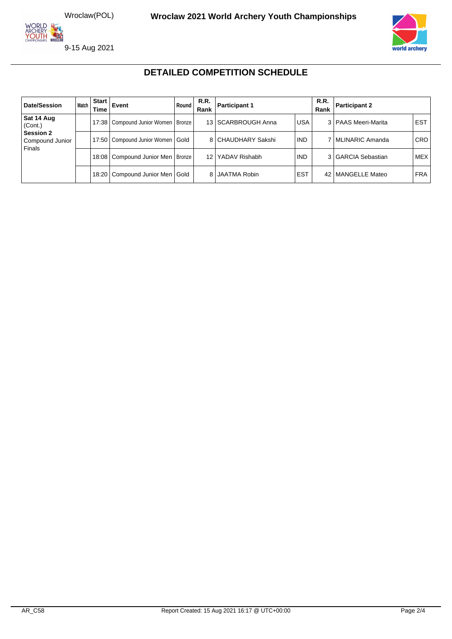



| Date/Session                                  | Match I | <b>Start</b><br>Time | Event                                  | Round | R.R.<br>Rank | R.R.<br><b>Participant 1</b><br>Rank |            |  | <b>Participant 2</b>  |            |
|-----------------------------------------------|---------|----------------------|----------------------------------------|-------|--------------|--------------------------------------|------------|--|-----------------------|------------|
| Sat 14 Aug<br>(Cont.)                         |         |                      | 17:38   Compound Junior Women   Bronze |       |              | 13   SCARBROUGH Anna                 | <b>USA</b> |  | 3   PAAS Meeri-Marita | <b>EST</b> |
| <b>Session 2</b><br>Compound Junior<br>Finals |         |                      | 17:50   Compound Junior Women   Gold   |       |              | 8 CHAUDHARY Sakshi                   | <b>IND</b> |  | 7 MLINARIC Amanda     | <b>CRO</b> |
|                                               |         |                      | 18:08   Compound Junior Men   Bronze   |       | 12           | YADAV Rishabh                        | <b>IND</b> |  | 3 GARCIA Sebastian    | <b>MEX</b> |
|                                               |         | 18:20                | Compound Junior Men   Gold             |       |              | 8 JAATMA Robin                       | <b>EST</b> |  | 42   MANGELLE Mateo   | <b>FRA</b> |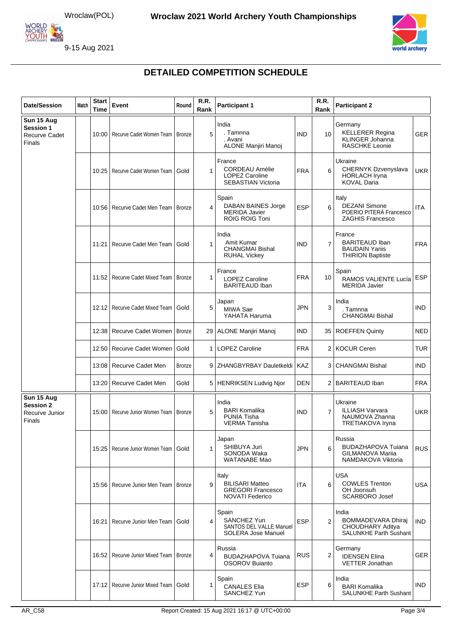



| <b>Date/Session</b>                                              | Match | <b>Start</b><br><b>Time</b> | <b>Event</b>                      | Round         | R.R.<br>Rank   | <b>Participant 1</b>                                                                  |            | R.R.<br>Rank   | <b>Participant 2</b>                                                                 |            |
|------------------------------------------------------------------|-------|-----------------------------|-----------------------------------|---------------|----------------|---------------------------------------------------------------------------------------|------------|----------------|--------------------------------------------------------------------------------------|------------|
| Sun 15 Aug<br><b>Session 1</b><br><b>Recurve Cadet</b><br>Finals |       |                             | 10:00   Recurve Cadet Women Team  | <b>Bronze</b> | 5              | India<br>. Tamnna<br>. Avani<br><b>ALONE Manjiri Manoj</b>                            | <b>IND</b> | 10             | Germany<br><b>KELLERER Regina</b><br><b>KLINGER Johanna</b><br><b>RASCHKE Leonie</b> | <b>GER</b> |
|                                                                  |       |                             | 10:25   Recurve Cadet Women Team  | Gold          | $\mathbf{1}$   | France<br><b>CORDEAU Amélie</b><br><b>LOPEZ Caroline</b><br><b>SEBASTIAN Victoria</b> | <b>FRA</b> | 6              | Ukraine<br>CHERNYK Dzvenyslava<br><b>HORLACH Iryna</b><br><b>KOVAL Daria</b>         | UKR        |
|                                                                  |       |                             | 10:56   Recurve Cadet Men Team    | Bronze        | 4              | Spain<br><b>DABAN BAINES Jorge</b><br><b>MERIDA Javier</b><br><b>ROIG ROIG Toni</b>   | <b>ESP</b> | 6              | Italy<br><b>DEZANI Simone</b><br>POERIO PITERÀ Francesco<br><b>ZAGHIS Francesco</b>  | <b>ITA</b> |
|                                                                  |       | 11:21                       | Recurve Cadet Men Team            | Gold          | $\mathbf{1}$   | India<br>Amit Kumar<br><b>CHANGMAI Bishal</b><br><b>RUHAL Vickey</b>                  | <b>IND</b> | $\overline{7}$ | France<br><b>BARITEAUD Iban</b><br><b>BAUDAIN Yanis</b><br><b>THIRION Baptiste</b>   | <b>FRA</b> |
|                                                                  |       |                             | 11:52   Recurve Cadet Mixed Team  | <b>Bronze</b> | $\mathbf{1}$   | France<br><b>LOPEZ Caroline</b><br><b>BARITEAUD Iban</b>                              | <b>FRA</b> | 10             | Spain<br>RAMOS VALIENTE Lucía<br><b>MERIDA Javier</b>                                | <b>ESP</b> |
|                                                                  |       |                             | 12:12   Recurve Cadet Mixed Team  | Gold          | 5              | Japan<br>MIWA Sae<br>YAHATA Haruma                                                    | <b>JPN</b> | 3              | India<br>. Tamnna<br><b>CHANGMAI Bishal</b>                                          | IND.       |
|                                                                  |       | 12:38                       | Recurve Cadet Women               | <b>Bronze</b> | 29             | <b>ALONE Manjiri Manoj</b>                                                            | <b>IND</b> | 35 I           | <b>ROEFFEN Quinty</b>                                                                | <b>NED</b> |
|                                                                  |       |                             | 12:50   Recurve Cadet Women       | Gold          | $\mathbf{1}$   | <b>LOPEZ Caroline</b>                                                                 | <b>FRA</b> | 2 I            | <b>KOCUR Ceren</b>                                                                   | <b>TUR</b> |
|                                                                  |       |                             | 13:08   Recurve Cadet Men         | <b>Bronze</b> | 9 <sup>1</sup> | ZHANGBYRBAY Dauletkeldi                                                               | <b>KAZ</b> | 3              | <b>CHANGMAI Bishal</b>                                                               | <b>IND</b> |
|                                                                  |       | 13:20                       | Recurve Cadet Men                 | Gold          |                | 5   HENRIKSEN Ludvig Njor                                                             | <b>DEN</b> | $\overline{2}$ | <b>BARITEAUD Iban</b>                                                                | <b>FRA</b> |
| Sun 15 Aug<br><b>Session 2</b><br>Recurve Junior<br>Finals       |       |                             | 15:00   Recurve Junior Women Team | <b>Bronze</b> | 5              | India<br><b>BARI Komalika</b><br><b>PUNIA Tisha</b><br><b>VERMA Tanisha</b>           | <b>IND</b> | $\overline{7}$ | Ukraine<br><b>ILLIASH Varvara</b><br>NAUMOVA Zhanna<br><b>TRETIAKOVA Iryna</b>       | <b>UKR</b> |
|                                                                  |       |                             | 15:25   Recurve Junior Women Team | Gold          | $\mathbf{1}$   | Japan<br>SHIBUYA Juri<br>SONODA Waka<br><b>WATANABE Mao</b>                           | <b>JPN</b> | 6              | Russia<br>BUDAZHAPOVA Tujana<br><b>GILMANOVA Marija</b><br>NAMDAKOVA Viktoria        | <b>RUS</b> |
|                                                                  |       |                             | 15:56 Recurve Junior Men Team     | <b>Bronze</b> | 9              | Italy<br><b>BILISARI Matteo</b><br><b>GREGORI Francesco</b><br><b>NOVATI Federico</b> | <b>ITA</b> | 6              | <b>USA</b><br><b>COWLES Trenton</b><br>OH Joonsuh<br><b>SCARBORO Josef</b>           | <b>USA</b> |
|                                                                  |       | 16:21                       | Recurve Junior Men Team           | Gold          | 4              | Spain<br>SANCHEZ Yun<br>SANTOS DEL VALLE Manuel<br><b>SOLERA Jose Manuel</b>          | <b>ESP</b> | $\overline{2}$ | India<br><b>BOMMADEVARA Dhiraj</b><br>CHOUDHARY Aditya<br>SALUNKHE Parth Sushant     | <b>IND</b> |
|                                                                  |       | 16:52                       | Recurve Junior Mixed Team         | <b>Bronze</b> | 4              | Russia<br><b>BUDAZHAPOVA Tujana</b><br><b>OSOROV Buianto</b>                          | <b>RUS</b> | 2              | Germany<br><b>IDENSEN Elina</b><br><b>VETTER Jonathan</b>                            | GER        |
|                                                                  |       |                             | 17:12   Recurve Junior Mixed Team | Gold          | 1              | Spain<br><b>CANALES Elia</b><br>SANCHEZ Yun                                           | <b>ESP</b> | 6              | India<br><b>BARI Komalika</b><br><b>SALUNKHE Parth Sushant</b>                       | <b>IND</b> |